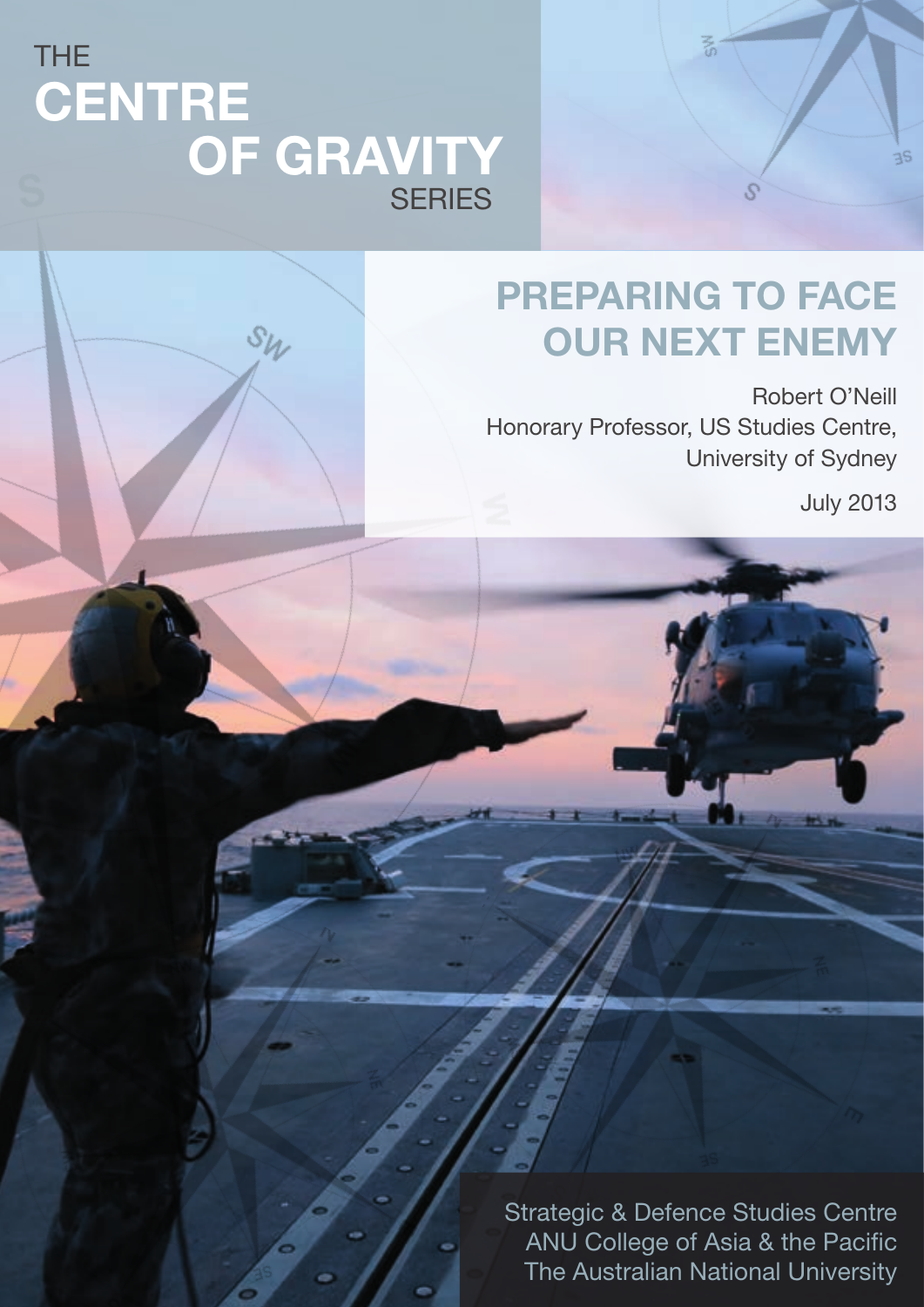## THE **CENTRE** OF GRAVITY **SERIES**

 $S_{\mathcal{W}}$ 

# PREPARING TO FACE OUR NEXT ENEMY

 $\frac{1}{2}$ 

 $\mathcal{S}$ 

Robert O'Neill Honorary Professor, US Studies Centre, University of Sydney

July 2013

 $3S$ 

Strategic & Defence Studies Centre ANU College of Asia & the Pacific The Australian National University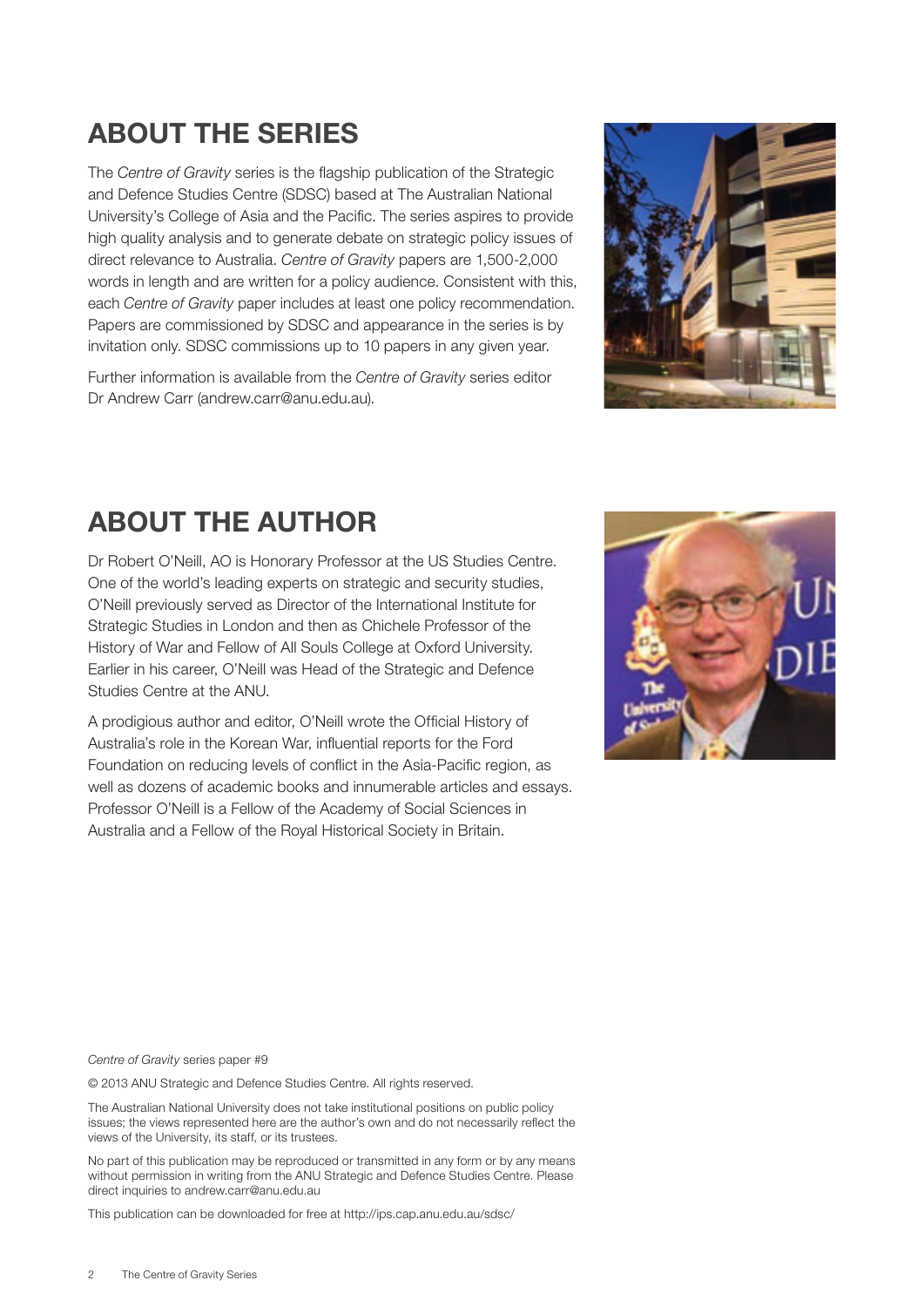### ABOUT THE SERIES

The *Centre of Gravity* series is the flagship publication of the Strategic and Defence Studies Centre (SDSC) based at The Australian National University's College of Asia and the Pacific. The series aspires to provide high quality analysis and to generate debate on strategic policy issues of direct relevance to Australia. *Centre of Gravity* papers are 1,500-2,000 words in length and are written for a policy audience. Consistent with this, each *Centre of Gravity* paper includes at least one policy recommendation. Papers are commissioned by SDSC and appearance in the series is by invitation only. SDSC commissions up to 10 papers in any given year.

Further information is available from the *Centre of Gravity* series editor Dr Andrew Carr [\(andrew.carr@anu.edu.au\).](mailto:andrew.carr%40anu.edu.au?subject=)



### ABOUT THE AUTHOR

Dr Robert O'Neill, AO is Honorary Professor at the US Studies Centre. One of the world's leading experts on strategic and security studies, O'Neill previously served as Director of the International Institute for Strategic Studies in London and then as Chichele Professor of the History of War and Fellow of All Souls College at Oxford University. Earlier in his career, O'Neill was Head of the Strategic and Defence Studies Centre at the ANU.

A prodigious author and editor, O'Neill wrote the Official History of Australia's role in the Korean War, influential reports for the Ford Foundation on reducing levels of conflict in the Asia-Pacific region, as well as dozens of academic books and innumerable articles and essays. Professor O'Neill is a Fellow of the Academy of Social Sciences in Australia and a Fellow of the Royal Historical Society in Britain.



*Centre of Gravity* series paper #9

© 2013 ANU Strategic and Defence Studies Centre. All rights reserved.

The Australian National University does not take institutional positions on public policy issues; the views represented here are the author's own and do not necessarily reflect the views of the University, its staff, or its trustees.

No part of this publication may be reproduced or transmitted in any form or by any means without permission in writing from the ANU Strategic and Defence Studies Centre. Please direct inquiries to [andrew.carr@anu.edu.au](mailto:andrew.carr%40anu.edu.au?subject=)

This publication can be downloaded for free at http://ips.cap.anu.edu.au/sdsc/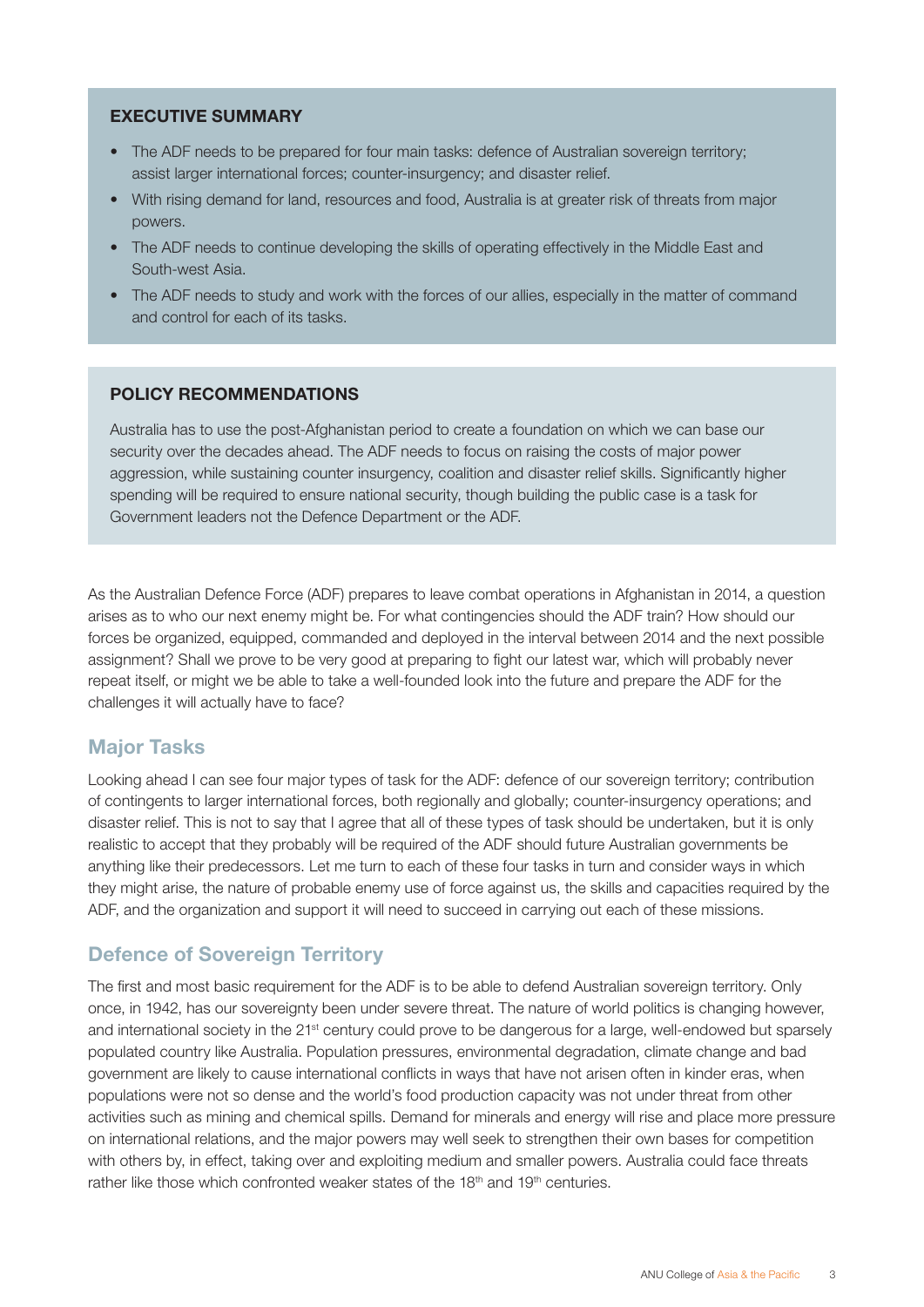#### EXECUTIVE SUMMARY

- The ADF needs to be prepared for four main tasks: defence of Australian sovereign territory; assist larger international forces; counter-insurgency; and disaster relief.
- With rising demand for land, resources and food, Australia is at greater risk of threats from major powers.
- The ADF needs to continue developing the skills of operating effectively in the Middle East and South-west Asia.
- The ADF needs to study and work with the forces of our allies, especially in the matter of command and control for each of its tasks.

#### POLICY RECOMMENDATIONS

Australia has to use the post-Afghanistan period to create a foundation on which we can base our security over the decades ahead. The ADF needs to focus on raising the costs of major power aggression, while sustaining counter insurgency, coalition and disaster relief skills. Significantly higher spending will be required to ensure national security, though building the public case is a task for Government leaders not the Defence Department or the ADF.

As the Australian Defence Force (ADF) prepares to leave combat operations in Afghanistan in 2014, a question arises as to who our next enemy might be. For what contingencies should the ADF train? How should our forces be organized, equipped, commanded and deployed in the interval between 2014 and the next possible assignment? Shall we prove to be very good at preparing to fight our latest war, which will probably never repeat itself, or might we be able to take a well-founded look into the future and prepare the ADF for the challenges it will actually have to face?

#### Major Tasks

Looking ahead I can see four major types of task for the ADF: defence of our sovereign territory; contribution of contingents to larger international forces, both regionally and globally; counter-insurgency operations; and disaster relief. This is not to say that I agree that all of these types of task should be undertaken, but it is only realistic to accept that they probably will be required of the ADF should future Australian governments be anything like their predecessors. Let me turn to each of these four tasks in turn and consider ways in which they might arise, the nature of probable enemy use of force against us, the skills and capacities required by the ADF, and the organization and support it will need to succeed in carrying out each of these missions.

#### Defence of Sovereign Territory

The first and most basic requirement for the ADF is to be able to defend Australian sovereign territory. Only once, in 1942, has our sovereignty been under severe threat. The nature of world politics is changing however, and international society in the 21<sup>st</sup> century could prove to be dangerous for a large, well-endowed but sparsely populated country like Australia. Population pressures, environmental degradation, climate change and bad government are likely to cause international conflicts in ways that have not arisen often in kinder eras, when populations were not so dense and the world's food production capacity was not under threat from other activities such as mining and chemical spills. Demand for minerals and energy will rise and place more pressure on international relations, and the major powers may well seek to strengthen their own bases for competition with others by, in effect, taking over and exploiting medium and smaller powers. Australia could face threats rather like those which confronted weaker states of the  $18<sup>th</sup>$  and  $19<sup>th</sup>$  centuries.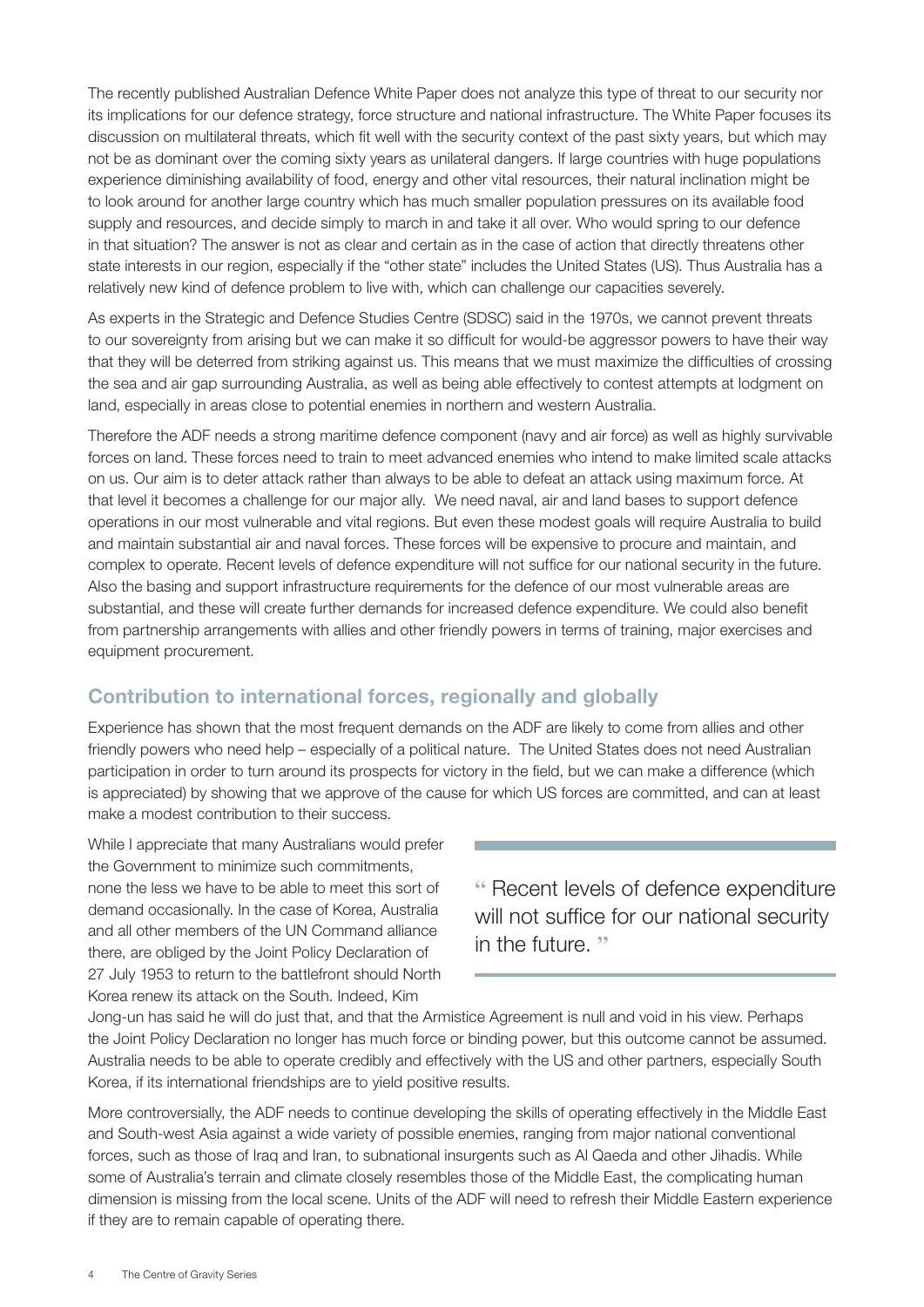The recently published Australian Defence White Paper does not analyze this type of threat to our security nor its implications for our defence strategy, force structure and national infrastructure. The White Paper focuses its discussion on multilateral threats, which fit well with the security context of the past sixty years, but which may not be as dominant over the coming sixty years as unilateral dangers. If large countries with huge populations experience diminishing availability of food, energy and other vital resources, their natural inclination might be to look around for another large country which has much smaller population pressures on its available food supply and resources, and decide simply to march in and take it all over. Who would spring to our defence in that situation? The answer is not as clear and certain as in the case of action that directly threatens other state interests in our region, especially if the "other state" includes the United States (US). Thus Australia has a relatively new kind of defence problem to live with, which can challenge our capacities severely.

As experts in the Strategic and Defence Studies Centre (SDSC) said in the 1970s, we cannot prevent threats to our sovereignty from arising but we can make it so difficult for would-be aggressor powers to have their way that they will be deterred from striking against us. This means that we must maximize the difficulties of crossing the sea and air gap surrounding Australia, as well as being able effectively to contest attempts at lodgment on land, especially in areas close to potential enemies in northern and western Australia.

Therefore the ADF needs a strong maritime defence component (navy and air force) as well as highly survivable forces on land. These forces need to train to meet advanced enemies who intend to make limited scale attacks on us. Our aim is to deter attack rather than always to be able to defeat an attack using maximum force. At that level it becomes a challenge for our major ally. We need naval, air and land bases to support defence operations in our most vulnerable and vital regions. But even these modest goals will require Australia to build and maintain substantial air and naval forces. These forces will be expensive to procure and maintain, and complex to operate. Recent levels of defence expenditure will not suffice for our national security in the future. Also the basing and support infrastructure requirements for the defence of our most vulnerable areas are substantial, and these will create further demands for increased defence expenditure. We could also benefit from partnership arrangements with allies and other friendly powers in terms of training, major exercises and equipment procurement.

#### Contribution to international forces, regionally and globally

Experience has shown that the most frequent demands on the ADF are likely to come from allies and other friendly powers who need help – especially of a political nature. The United States does not need Australian participation in order to turn around its prospects for victory in the field, but we can make a difference (which is appreciated) by showing that we approve of the cause for which US forces are committed, and can at least make a modest contribution to their success.

While I appreciate that many Australians would prefer the Government to minimize such commitments, none the less we have to be able to meet this sort of demand occasionally. In the case of Korea, Australia and all other members of the UN Command alliance there, are obliged by the Joint Policy Declaration of 27 July 1953 to return to the battlefront should North Korea renew its attack on the South. Indeed, Kim

**"** Recent levels of defence expenditure will not suffice for our national security in the future. **"**

Jong-un has said he will do just that, and that the Armistice Agreement is null and void in his view. Perhaps the Joint Policy Declaration no longer has much force or binding power, but this outcome cannot be assumed. Australia needs to be able to operate credibly and effectively with the US and other partners, especially South Korea, if its international friendships are to yield positive results.

More controversially, the ADF needs to continue developing the skills of operating effectively in the Middle East and South-west Asia against a wide variety of possible enemies, ranging from major national conventional forces, such as those of Iraq and Iran, to subnational insurgents such as Al Qaeda and other Jihadis. While some of Australia's terrain and climate closely resembles those of the Middle East, the complicating human dimension is missing from the local scene. Units of the ADF will need to refresh their Middle Eastern experience if they are to remain capable of operating there.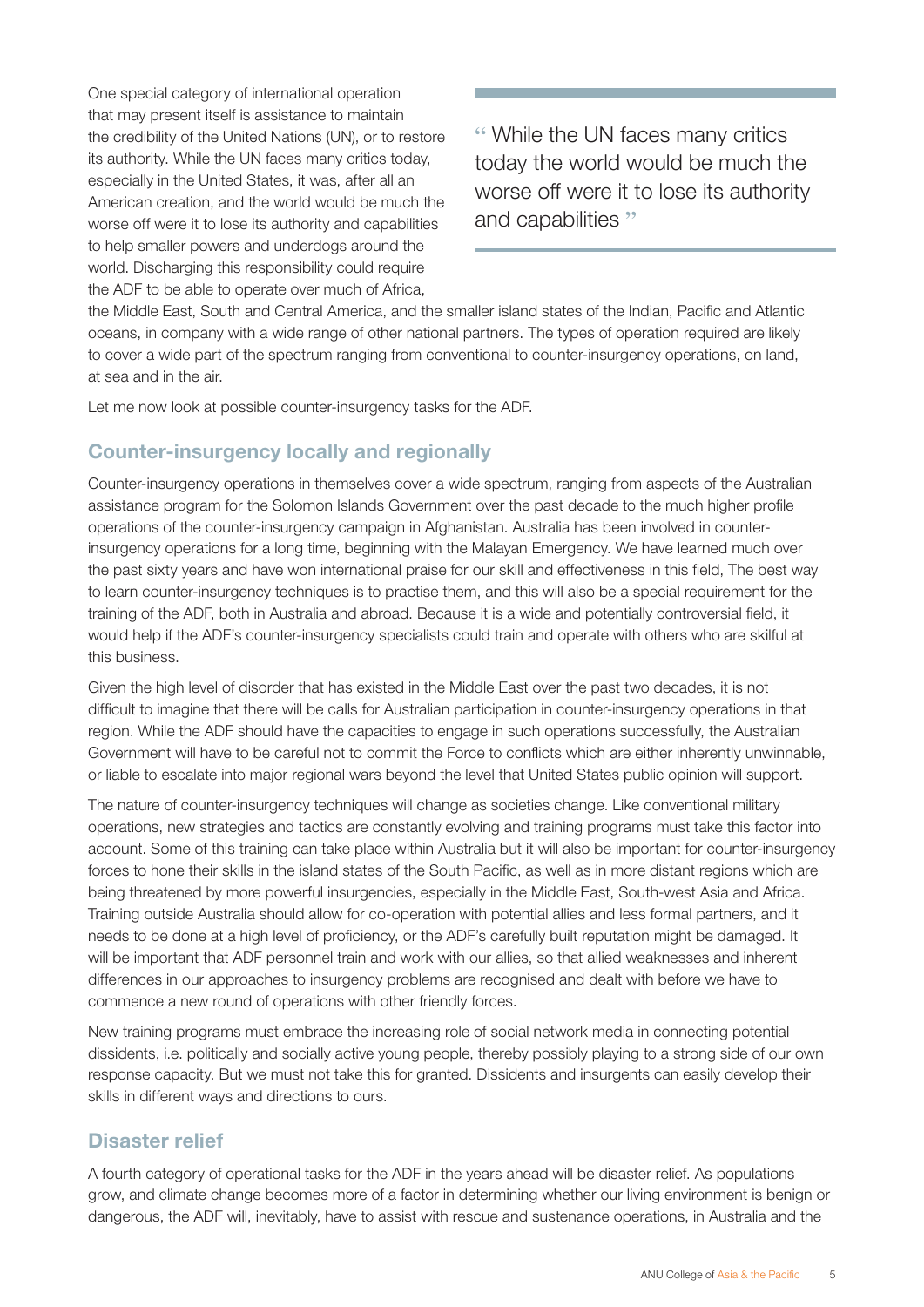One special category of international operation that may present itself is assistance to maintain the credibility of the United Nations (UN), or to restore its authority. While the UN faces many critics today, especially in the United States, it was, after all an American creation, and the world would be much the worse off were it to lose its authority and capabilities to help smaller powers and underdogs around the world. Discharging this responsibility could require the ADF to be able to operate over much of Africa,

**"** While the UN faces many critics today the world would be much the worse off were it to lose its authority and capabilities **"**

the Middle East, South and Central America, and the smaller island states of the Indian, Pacific and Atlantic oceans, in company with a wide range of other national partners. The types of operation required are likely to cover a wide part of the spectrum ranging from conventional to counter-insurgency operations, on land, at sea and in the air.

Let me now look at possible counter-insurgency tasks for the ADF.

#### Counter-insurgency locally and regionally

Counter-insurgency operations in themselves cover a wide spectrum, ranging from aspects of the Australian assistance program for the Solomon Islands Government over the past decade to the much higher profile operations of the counter-insurgency campaign in Afghanistan. Australia has been involved in counterinsurgency operations for a long time, beginning with the Malayan Emergency. We have learned much over the past sixty years and have won international praise for our skill and effectiveness in this field, The best way to learn counter-insurgency techniques is to practise them, and this will also be a special requirement for the training of the ADF, both in Australia and abroad. Because it is a wide and potentially controversial field, it would help if the ADF's counter-insurgency specialists could train and operate with others who are skilful at this business.

Given the high level of disorder that has existed in the Middle East over the past two decades, it is not difficult to imagine that there will be calls for Australian participation in counter-insurgency operations in that region. While the ADF should have the capacities to engage in such operations successfully, the Australian Government will have to be careful not to commit the Force to conflicts which are either inherently unwinnable, or liable to escalate into major regional wars beyond the level that United States public opinion will support.

The nature of counter-insurgency techniques will change as societies change. Like conventional military operations, new strategies and tactics are constantly evolving and training programs must take this factor into account. Some of this training can take place within Australia but it will also be important for counter-insurgency forces to hone their skills in the island states of the South Pacific, as well as in more distant regions which are being threatened by more powerful insurgencies, especially in the Middle East, South-west Asia and Africa. Training outside Australia should allow for co-operation with potential allies and less formal partners, and it needs to be done at a high level of proficiency, or the ADF's carefully built reputation might be damaged. It will be important that ADF personnel train and work with our allies, so that allied weaknesses and inherent differences in our approaches to insurgency problems are recognised and dealt with before we have to commence a new round of operations with other friendly forces.

New training programs must embrace the increasing role of social network media in connecting potential dissidents, i.e. politically and socially active young people, thereby possibly playing to a strong side of our own response capacity. But we must not take this for granted. Dissidents and insurgents can easily develop their skills in different ways and directions to ours.

#### Disaster relief

A fourth category of operational tasks for the ADF in the years ahead will be disaster relief. As populations grow, and climate change becomes more of a factor in determining whether our living environment is benign or dangerous, the ADF will, inevitably, have to assist with rescue and sustenance operations, in Australia and the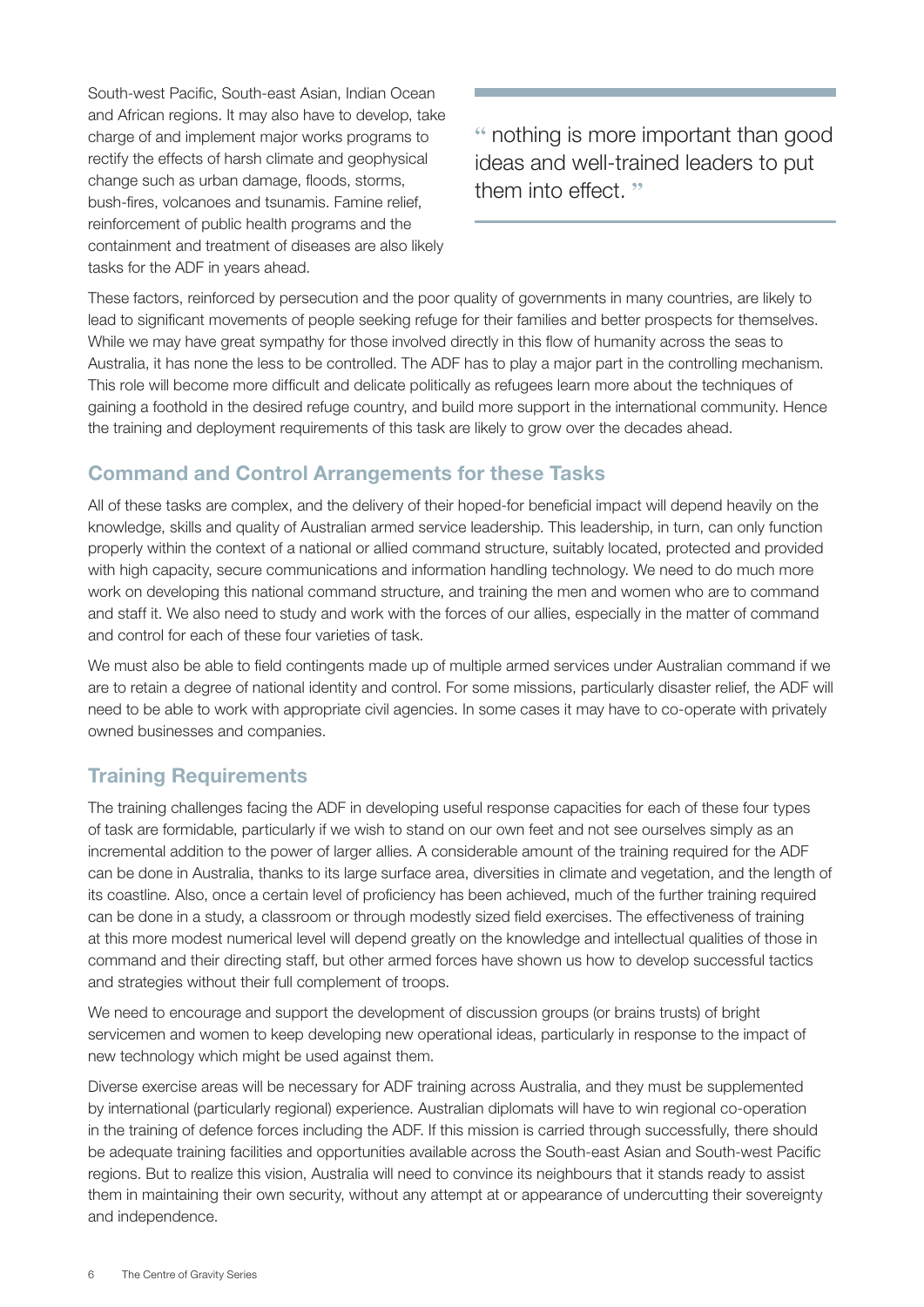South-west Pacific, South-east Asian, Indian Ocean and African regions. It may also have to develop, take charge of and implement major works programs to rectify the effects of harsh climate and geophysical change such as urban damage, floods, storms, bush-fires, volcanoes and tsunamis. Famine relief, reinforcement of public health programs and the containment and treatment of diseases are also likely tasks for the ADF in years ahead.

**"** nothing is more important than good ideas and well-trained leaders to put them into effect. **"**

These factors, reinforced by persecution and the poor quality of governments in many countries, are likely to lead to significant movements of people seeking refuge for their families and better prospects for themselves. While we may have great sympathy for those involved directly in this flow of humanity across the seas to Australia, it has none the less to be controlled. The ADF has to play a major part in the controlling mechanism. This role will become more difficult and delicate politically as refugees learn more about the techniques of gaining a foothold in the desired refuge country, and build more support in the international community. Hence the training and deployment requirements of this task are likely to grow over the decades ahead.

#### Command and Control Arrangements for these Tasks

All of these tasks are complex, and the delivery of their hoped-for beneficial impact will depend heavily on the knowledge, skills and quality of Australian armed service leadership. This leadership, in turn, can only function properly within the context of a national or allied command structure, suitably located, protected and provided with high capacity, secure communications and information handling technology. We need to do much more work on developing this national command structure, and training the men and women who are to command and staff it. We also need to study and work with the forces of our allies, especially in the matter of command and control for each of these four varieties of task.

We must also be able to field contingents made up of multiple armed services under Australian command if we are to retain a degree of national identity and control. For some missions, particularly disaster relief, the ADF will need to be able to work with appropriate civil agencies. In some cases it may have to co-operate with privately owned businesses and companies.

#### Training Requirements

The training challenges facing the ADF in developing useful response capacities for each of these four types of task are formidable, particularly if we wish to stand on our own feet and not see ourselves simply as an incremental addition to the power of larger allies. A considerable amount of the training required for the ADF can be done in Australia, thanks to its large surface area, diversities in climate and vegetation, and the length of its coastline. Also, once a certain level of proficiency has been achieved, much of the further training required can be done in a study, a classroom or through modestly sized field exercises. The effectiveness of training at this more modest numerical level will depend greatly on the knowledge and intellectual qualities of those in command and their directing staff, but other armed forces have shown us how to develop successful tactics and strategies without their full complement of troops.

We need to encourage and support the development of discussion groups (or brains trusts) of bright servicemen and women to keep developing new operational ideas, particularly in response to the impact of new technology which might be used against them.

Diverse exercise areas will be necessary for ADF training across Australia, and they must be supplemented by international (particularly regional) experience. Australian diplomats will have to win regional co-operation in the training of defence forces including the ADF. If this mission is carried through successfully, there should be adequate training facilities and opportunities available across the South-east Asian and South-west Pacific regions. But to realize this vision, Australia will need to convince its neighbours that it stands ready to assist them in maintaining their own security, without any attempt at or appearance of undercutting their sovereignty and independence.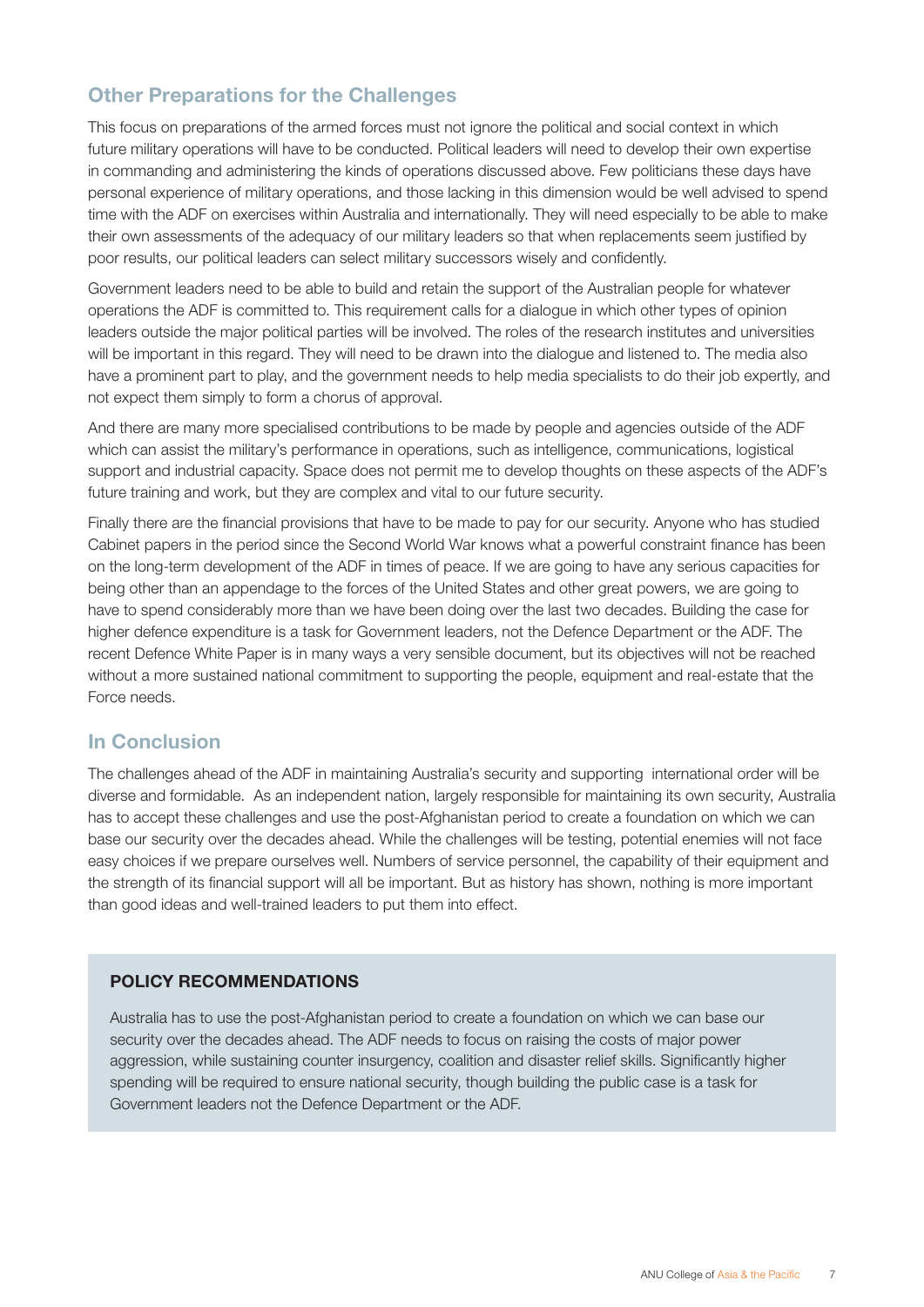#### Other Preparations for the Challenges

This focus on preparations of the armed forces must not ignore the political and social context in which future military operations will have to be conducted. Political leaders will need to develop their own expertise in commanding and administering the kinds of operations discussed above. Few politicians these days have personal experience of military operations, and those lacking in this dimension would be well advised to spend time with the ADF on exercises within Australia and internationally. They will need especially to be able to make their own assessments of the adequacy of our military leaders so that when replacements seem justified by poor results, our political leaders can select military successors wisely and confidently.

Government leaders need to be able to build and retain the support of the Australian people for whatever operations the ADF is committed to. This requirement calls for a dialogue in which other types of opinion leaders outside the major political parties will be involved. The roles of the research institutes and universities will be important in this regard. They will need to be drawn into the dialogue and listened to. The media also have a prominent part to play, and the government needs to help media specialists to do their job expertly, and not expect them simply to form a chorus of approval.

And there are many more specialised contributions to be made by people and agencies outside of the ADF which can assist the military's performance in operations, such as intelligence, communications, logistical support and industrial capacity. Space does not permit me to develop thoughts on these aspects of the ADF's future training and work, but they are complex and vital to our future security.

Finally there are the financial provisions that have to be made to pay for our security. Anyone who has studied Cabinet papers in the period since the Second World War knows what a powerful constraint finance has been on the long-term development of the ADF in times of peace. If we are going to have any serious capacities for being other than an appendage to the forces of the United States and other great powers, we are going to have to spend considerably more than we have been doing over the last two decades. Building the case for higher defence expenditure is a task for Government leaders, not the Defence Department or the ADF. The recent Defence White Paper is in many ways a very sensible document, but its objectives will not be reached without a more sustained national commitment to supporting the people, equipment and real-estate that the Force needs.

#### In Conclusion

The challenges ahead of the ADF in maintaining Australia's security and supporting international order will be diverse and formidable. As an independent nation, largely responsible for maintaining its own security, Australia has to accept these challenges and use the post-Afghanistan period to create a foundation on which we can base our security over the decades ahead. While the challenges will be testing, potential enemies will not face easy choices if we prepare ourselves well. Numbers of service personnel, the capability of their equipment and the strength of its financial support will all be important. But as history has shown, nothing is more important than good ideas and well-trained leaders to put them into effect.

#### POLICY RECOMMENDATIONS

Australia has to use the post-Afghanistan period to create a foundation on which we can base our security over the decades ahead. The ADF needs to focus on raising the costs of major power aggression, while sustaining counter insurgency, coalition and disaster relief skills. Significantly higher spending will be required to ensure national security, though building the public case is a task for Government leaders not the Defence Department or the ADF.